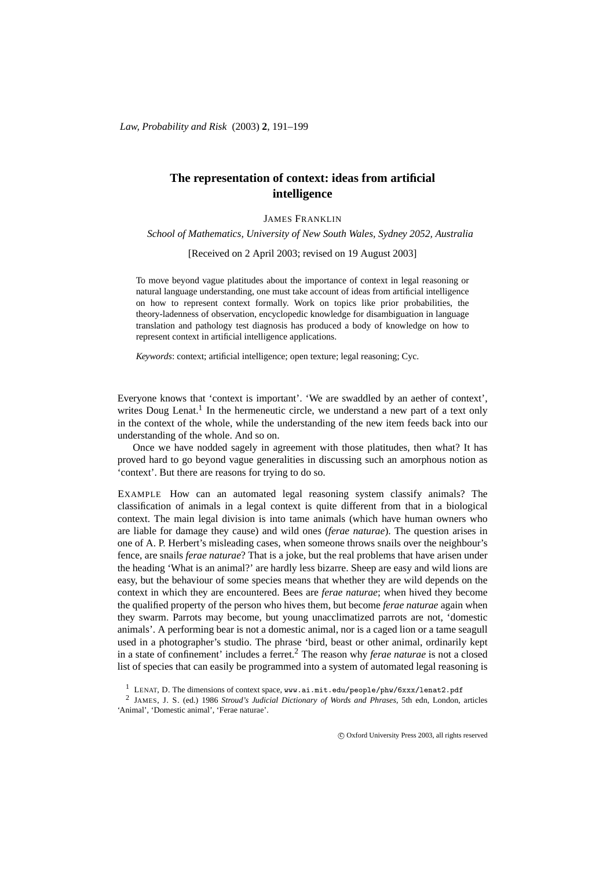*Law, Probability and Risk* (2003) **2**, 191–199

# **The representation of context: ideas from artificial intelligence**

JAMES FRANKLIN

*School of Mathematics, University of New South Wales, Sydney 2052, Australia*

[Received on 2 April 2003; revised on 19 August 2003]

To move beyond vague platitudes about the importance of context in legal reasoning or natural language understanding, one must take account of ideas from artificial intelligence on how to represent context formally. Work on topics like prior probabilities, the theory-ladenness of observation, encyclopedic knowledge for disambiguation in language translation and pathology test diagnosis has produced a body of knowledge on how to represent context in artificial intelligence applications.

*Keywords*: context; artificial intelligence; open texture; legal reasoning; Cyc.

Everyone knows that 'context is important'. 'We are swaddled by an aether of context', writes Doug Lenat.<sup>1</sup> In the hermeneutic circle, we understand a new part of a text only in the context of the whole, while the understanding of the new item feeds back into our understanding of the whole. And so on.

Once we have nodded sagely in agreement with those platitudes, then what? It has proved hard to go beyond vague generalities in discussing such an amorphous notion as 'context'. But there are reasons for trying to do so.

EXAMPLE How can an automated legal reasoning system classify animals? The classification of animals in a legal context is quite different from that in a biological context. The main legal division is into tame animals (which have human owners who are liable for damage they cause) and wild ones (*ferae naturae*). The question arises in one of A. P. Herbert's misleading cases, when someone throws snails over the neighbour's fence, are snails *ferae naturae*? That is a joke, but the real problems that have arisen under the heading 'What is an animal?' are hardly less bizarre. Sheep are easy and wild lions are easy, but the behaviour of some species means that whether they are wild depends on the context in which they are encountered. Bees are *ferae naturae*; when hived they become the qualified property of the person who hives them, but become *ferae naturae* again when they swarm. Parrots may become, but young unacclimatized parrots are not, 'domestic animals'. A performing bear is not a domestic animal, nor is a caged lion or a tame seagull used in a photographer's studio. The phrase 'bird, beast or other animal, ordinarily kept in a state of confinement' includes a ferret.2 The reason why *ferae naturae* is not a closed list of species that can easily be programmed into a system of automated legal reasoning is

<sup>&</sup>lt;sup>1</sup> LENAT, D. The dimensions of context space, www.ai.mit.edu/people/phw/6xxx/lenat2.pdf

<sup>2</sup> JAMES, J. S. (ed.) 1986 *Stroud's Judicial Dictionary of Words and Phrases*, 5th edn, London, articles 'Animal', 'Domestic animal', 'Ferae naturae'.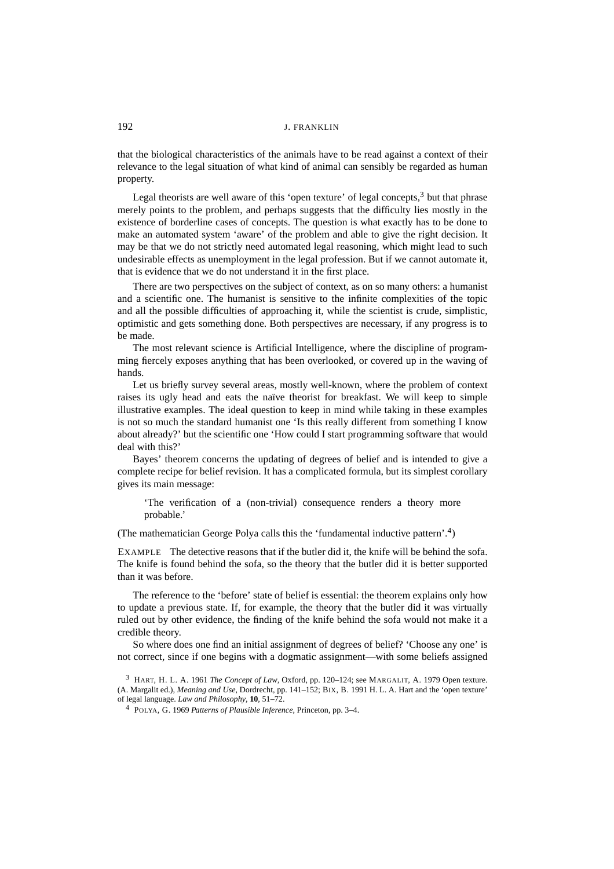that the biological characteristics of the animals have to be read against a context of their relevance to the legal situation of what kind of animal can sensibly be regarded as human property.

Legal theorists are well aware of this 'open texture' of legal concepts,<sup>3</sup> but that phrase merely points to the problem, and perhaps suggests that the difficulty lies mostly in the existence of borderline cases of concepts. The question is what exactly has to be done to make an automated system 'aware' of the problem and able to give the right decision. It may be that we do not strictly need automated legal reasoning, which might lead to such undesirable effects as unemployment in the legal profession. But if we cannot automate it, that is evidence that we do not understand it in the first place.

There are two perspectives on the subject of context, as on so many others: a humanist and a scientific one. The humanist is sensitive to the infinite complexities of the topic and all the possible difficulties of approaching it, while the scientist is crude, simplistic, optimistic and gets something done. Both perspectives are necessary, if any progress is to be made.

The most relevant science is Artificial Intelligence, where the discipline of programming fiercely exposes anything that has been overlooked, or covered up in the waving of hands.

Let us briefly survey several areas, mostly well-known, where the problem of context raises its ugly head and eats the naïve theorist for breakfast. We will keep to simple illustrative examples. The ideal question to keep in mind while taking in these examples is not so much the standard humanist one 'Is this really different from something I know about already?' but the scientific one 'How could I start programming software that would deal with this?'

Bayes' theorem concerns the updating of degrees of belief and is intended to give a complete recipe for belief revision. It has a complicated formula, but its simplest corollary gives its main message:

'The verification of a (non-trivial) consequence renders a theory more probable.'

(The mathematician George Polya calls this the 'fundamental inductive pattern'.4)

EXAMPLE The detective reasons that if the butler did it, the knife will be behind the sofa. The knife is found behind the sofa, so the theory that the butler did it is better supported than it was before.

The reference to the 'before' state of belief is essential: the theorem explains only how to update a previous state. If, for example, the theory that the butler did it was virtually ruled out by other evidence, the finding of the knife behind the sofa would not make it a credible theory.

So where does one find an initial assignment of degrees of belief? 'Choose any one' is not correct, since if one begins with a dogmatic assignment—with some beliefs assigned

<sup>3</sup> HART, H. L. A. 1961 *The Concept of Law*, Oxford, pp. 120–124; see MARGALIT, A. 1979 Open texture. (A. Margalit ed.), *Meaning and Use*, Dordrecht, pp. 141–152; BIX, B. 1991 H. L. A. Hart and the 'open texture' of legal language. *Law and Philosophy*, **10**, 51–72.

<sup>4</sup> POLYA, G. 1969 *Patterns of Plausible Inference*, Princeton, pp. 3–4.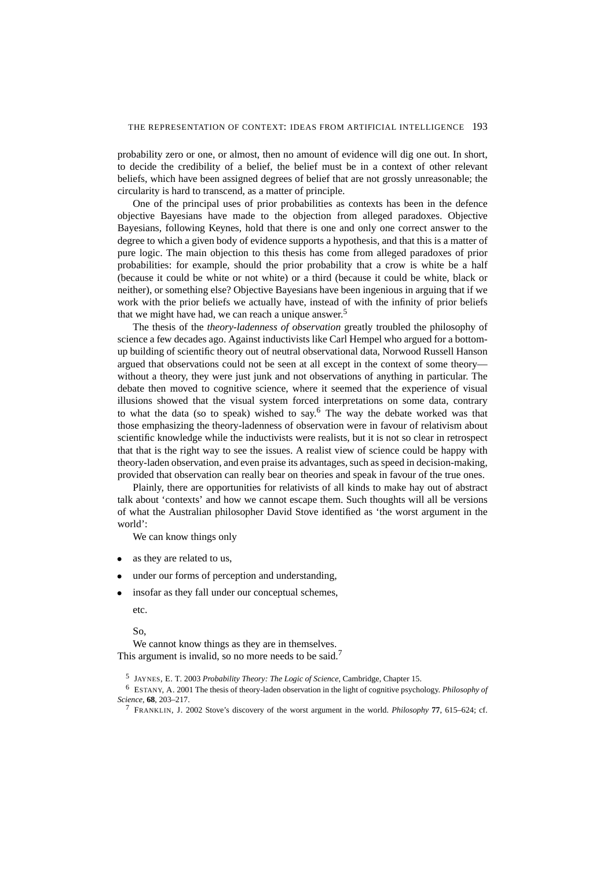probability zero or one, or almost, then no amount of evidence will dig one out. In short, to decide the credibility of a belief, the belief must be in a context of other relevant beliefs, which have been assigned degrees of belief that are not grossly unreasonable; the circularity is hard to transcend, as a matter of principle.

One of the principal uses of prior probabilities as contexts has been in the defence objective Bayesians have made to the objection from alleged paradoxes. Objective Bayesians, following Keynes, hold that there is one and only one correct answer to the degree to which a given body of evidence supports a hypothesis, and that this is a matter of pure logic. The main objection to this thesis has come from alleged paradoxes of prior probabilities: for example, should the prior probability that a crow is white be a half (because it could be white or not white) or a third (because it could be white, black or neither), or something else? Objective Bayesians have been ingenious in arguing that if we work with the prior beliefs we actually have, instead of with the infinity of prior beliefs that we might have had, we can reach a unique answer.<sup>5</sup>

The thesis of the *theory-ladenness of observation* greatly troubled the philosophy of science a few decades ago. Against inductivists like Carl Hempel who argued for a bottomup building of scientific theory out of neutral observational data, Norwood Russell Hanson argued that observations could not be seen at all except in the context of some theory without a theory, they were just junk and not observations of anything in particular. The debate then moved to cognitive science, where it seemed that the experience of visual illusions showed that the visual system forced interpretations on some data, contrary to what the data (so to speak) wished to say.<sup>6</sup> The way the debate worked was that those emphasizing the theory-ladenness of observation were in favour of relativism about scientific knowledge while the inductivists were realists, but it is not so clear in retrospect that that is the right way to see the issues. A realist view of science could be happy with theory-laden observation, and even praise its advantages, such as speed in decision-making, provided that observation can really bear on theories and speak in favour of the true ones.

Plainly, there are opportunities for relativists of all kinds to make hay out of abstract talk about 'contexts' and how we cannot escape them. Such thoughts will all be versions of what the Australian philosopher David Stove identified as 'the worst argument in the world':

We can know things only

- as they are related to us,
- under our forms of perception and understanding,
- insofar as they fall under our conceptual schemes,

etc.

So,

We cannot know things as they are in themselves. This argument is invalid, so no more needs to be said.<sup>7</sup>

<sup>5</sup> JAYNES, E. T. 2003 *Probability Theory: The Logic of Science*, Cambridge, Chapter 15.

<sup>6</sup> ESTANY, A. 2001 The thesis of theory-laden observation in the light of cognitive psychology. *Philosophy of Science*, **68**, 203–217.

<sup>7</sup> FRANKLIN, J. 2002 Stove's discovery of the worst argument in the world. *Philosophy* **77**, 615–624; cf.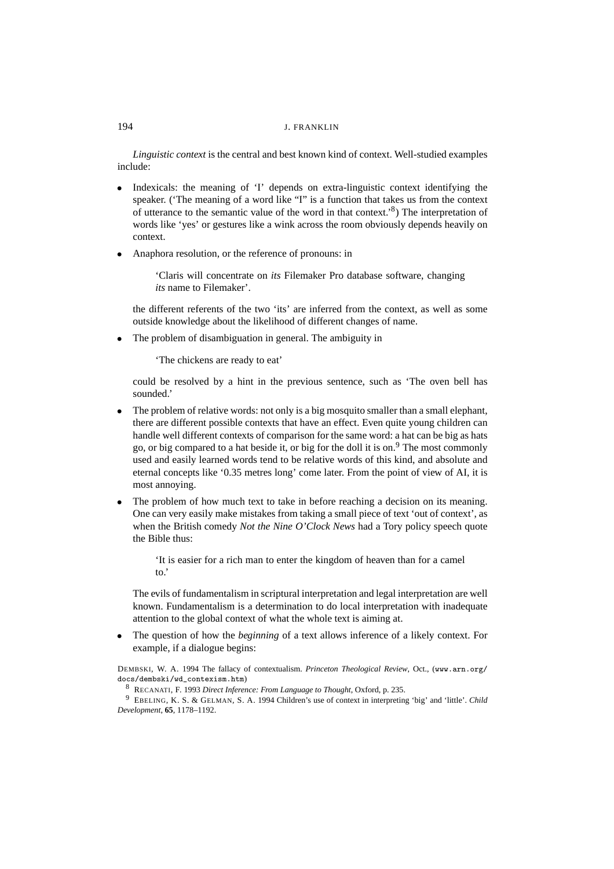*Linguistic context* is the central and best known kind of context. Well-studied examples include:

- Indexicals: the meaning of 'I' depends on extra-linguistic context identifying the speaker. ('The meaning of a word like "I" is a function that takes us from the context of utterance to the semantic value of the word in that context.'8) The interpretation of words like 'yes' or gestures like a wink across the room obviously depends heavily on context.
- Anaphora resolution, or the reference of pronouns: in

'Claris will concentrate on *its* Filemaker Pro database software, changing *its* name to Filemaker'.

the different referents of the two 'its' are inferred from the context, as well as some outside knowledge about the likelihood of different changes of name.

The problem of disambiguation in general. The ambiguity in

'The chickens are ready to eat'

could be resolved by a hint in the previous sentence, such as 'The oven bell has sounded.'

- The problem of relative words: not only is a big mosquito smaller than a small elephant, there are different possible contexts that have an effect. Even quite young children can handle well different contexts of comparison for the same word: a hat can be big as hats go, or big compared to a hat beside it, or big for the doll it is on.<sup>9</sup> The most commonly used and easily learned words tend to be relative words of this kind, and absolute and eternal concepts like '0.35 metres long' come later. From the point of view of AI, it is most annoying.
- The problem of how much text to take in before reaching a decision on its meaning. One can very easily make mistakes from taking a small piece of text 'out of context', as when the British comedy *Not the Nine O'Clock News* had a Tory policy speech quote the Bible thus:

'It is easier for a rich man to enter the kingdom of heaven than for a camel to.'

The evils of fundamentalism in scriptural interpretation and legal interpretation are well known. Fundamentalism is a determination to do local interpretation with inadequate attention to the global context of what the whole text is aiming at.

• The question of how the *beginning* of a text allows inference of a likely context. For example, if a dialogue begins:

DEMBSKI, W. A. 1994 The fallacy of contextualism. *Princeton Theological Review*, Oct., (www.arn.org/ docs/dembski/wd\_contexism.htm)

<sup>9</sup> EBELING, K. S. & GELMAN, S. A. 1994 Children's use of context in interpreting 'big' and 'little'. *Child Development*, **65**, 1178–1192.

<sup>8</sup> RECANATI, F. 1993 *Direct Inference: From Language to Thought*, Oxford, p. 235.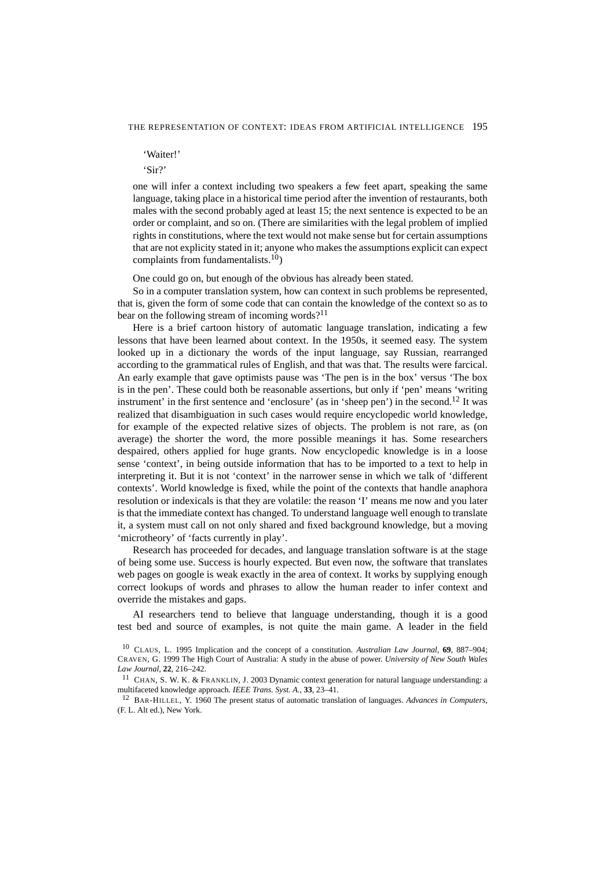'Waiter!'

'Sir?'

one will infer a context including two speakers a few feet apart, speaking the same language, taking place in a historical time period after the invention of restaurants, both males with the second probably aged at least 15; the next sentence is expected to be an order or complaint, and so on. (There are similarities with the legal problem of implied rights in constitutions, where the text would not make sense but for certain assumptions that are not explicity stated in it; anyone who makes the assumptions explicit can expect complaints from fundamentalists.<sup>10</sup>)

One could go on, but enough of the obvious has already been stated.

So in a computer translation system, how can context in such problems be represented, that is, given the form of some code that can contain the knowledge of the context so as to bear on the following stream of incoming words? $11$ 

Here is a brief cartoon history of automatic language translation, indicating a few lessons that have been learned about context. In the 1950s, it seemed easy. The system looked up in a dictionary the words of the input language, say Russian, rearranged according to the grammatical rules of English, and that was that. The results were farcical. An early example that gave optimists pause was 'The pen is in the box' versus 'The box is in the pen'. These could both be reasonable assertions, but only if 'pen' means 'writing instrument' in the first sentence and 'enclosure' (as in 'sheep pen') in the second.<sup>12</sup> It was realized that disambiguation in such cases would require encyclopedic world knowledge, for example of the expected relative sizes of objects. The problem is not rare, as (on average) the shorter the word, the more possible meanings it has. Some researchers despaired, others applied for huge grants. Now encyclopedic knowledge is in a loose sense 'context', in being outside information that has to be imported to a text to help in interpreting it. But it is not 'context' in the narrower sense in which we talk of 'different contexts'. World knowledge is fixed, while the point of the contexts that handle anaphora resolution or indexicals is that they are volatile: the reason 'I' means me now and you later is that the immediate context has changed. To understand language well enough to translate it, a system must call on not only shared and fixed background knowledge, but a moving 'microtheory' of 'facts currently in play'.

Research has proceeded for decades, and language translation software is at the stage of being some use. Success is hourly expected. But even now, the software that translates web pages on google is weak exactly in the area of context. It works by supplying enough correct lookups of words and phrases to allow the human reader to infer context and override the mistakes and gaps.

AI researchers tend to believe that language understanding, though it is a good test bed and source of examples, is not quite the main game. A leader in the field

<sup>10</sup> CLAUS, L. 1995 Implication and the concept of a constitution. *Australian Law Journal*, **69**, 887–904; CRAVEN, G. 1999 The High Court of Australia: A study in the abuse of power. *University of New South Wales Law Journal*, **22**, 216–242.

<sup>11</sup> CHAN, S. W. K. & FRANKLIN, J. 2003 Dynamic context generation for natural language understanding: a multifaceted knowledge approach. *IEEE Trans. Syst. A.*, **33**, 23–41.

<sup>12</sup> BAR-HILLEL, Y. 1960 The present status of automatic translation of languages. *Advances in Computers*, (F. L. Alt ed.), New York.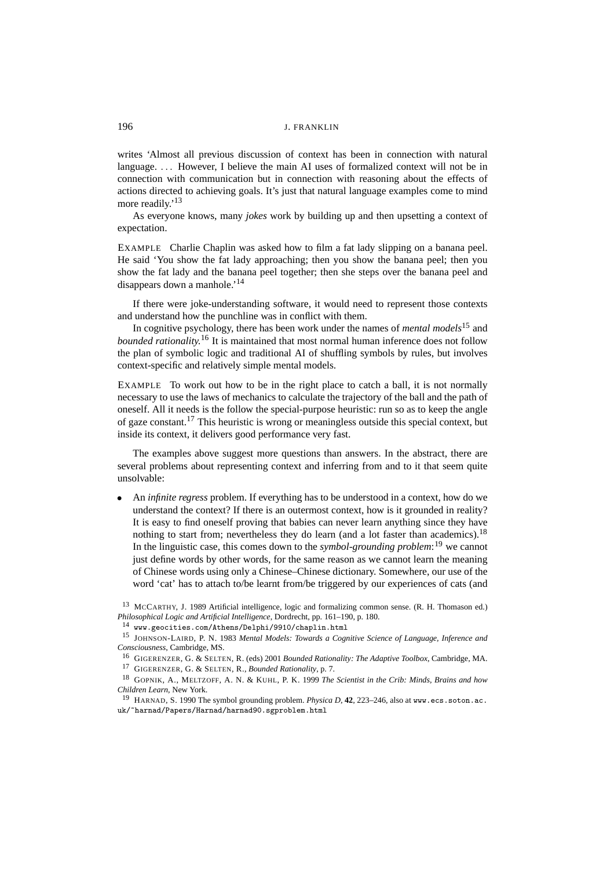writes 'Almost all previous discussion of context has been in connection with natural language. ... However, I believe the main AI uses of formalized context will not be in connection with communication but in connection with reasoning about the effects of actions directed to achieving goals. It's just that natural language examples come to mind more readily.'<sup>13</sup>

As everyone knows, many *jokes* work by building up and then upsetting a context of expectation.

EXAMPLE Charlie Chaplin was asked how to film a fat lady slipping on a banana peel. He said 'You show the fat lady approaching; then you show the banana peel; then you show the fat lady and the banana peel together; then she steps over the banana peel and disappears down a manhole.<sup>'14</sup>

If there were joke-understanding software, it would need to represent those contexts and understand how the punchline was in conflict with them.

In cognitive psychology, there has been work under the names of *mental models*<sup>15</sup> and *bounded rationality.*<sup>16</sup> It is maintained that most normal human inference does not follow the plan of symbolic logic and traditional AI of shuffling symbols by rules, but involves context-specific and relatively simple mental models.

EXAMPLE To work out how to be in the right place to catch a ball, it is not normally necessary to use the laws of mechanics to calculate the trajectory of the ball and the path of oneself. All it needs is the follow the special-purpose heuristic: run so as to keep the angle of gaze constant.17 This heuristic is wrong or meaningless outside this special context, but inside its context, it delivers good performance very fast.

The examples above suggest more questions than answers. In the abstract, there are several problems about representing context and inferring from and to it that seem quite unsolvable:

• An *infinite regress* problem. If everything has to be understood in a context, how do we understand the context? If there is an outermost context, how is it grounded in reality? It is easy to find oneself proving that babies can never learn anything since they have nothing to start from; nevertheless they do learn (and a lot faster than academics).<sup>18</sup> In the linguistic case, this comes down to the *symbol-grounding problem*: <sup>19</sup> we cannot just define words by other words, for the same reason as we cannot learn the meaning of Chinese words using only a Chinese–Chinese dictionary. Somewhere, our use of the word 'cat' has to attach to/be learnt from/be triggered by our experiences of cats (and

<sup>13</sup> MCCARTHY, J. 1989 Artificial intelligence, logic and formalizing common sense. (R. H. Thomason ed.) *Philosophical Logic and Artificial Intelligence*, Dordrecht, pp. 161–190, p. 180.

<sup>14</sup> www.geocities.com/Athens/Delphi/9910/chaplin.html

<sup>15</sup> JOHNSON-LAIRD, P. N. 1983 *Mental Models: Towards a Cognitive Science of Language, Inference and Consciousness*, Cambridge, MS.

<sup>16</sup> GIGERENZER, G.&SELTEN, R. (eds) 2001 *Bounded Rationality: The Adaptive Toolbox*, Cambridge, MA. <sup>17</sup> GIGERENZER, G.&SELTEN, R., *Bounded Rationality*, p. 7.

<sup>18</sup> GOPNIK, A., MELTZOFF, A. N.&KUHL, P. K. 1999 *The Scientist in the Crib: Minds, Brains and how Children Learn*, New York.

<sup>19</sup> HARNAD, S. 1990 The symbol grounding problem. *Physica D*, **42**, 223–246, also at www.ecs.soton.ac. uk/~harnad/Papers/Harnad/harnad90.sgproblem.html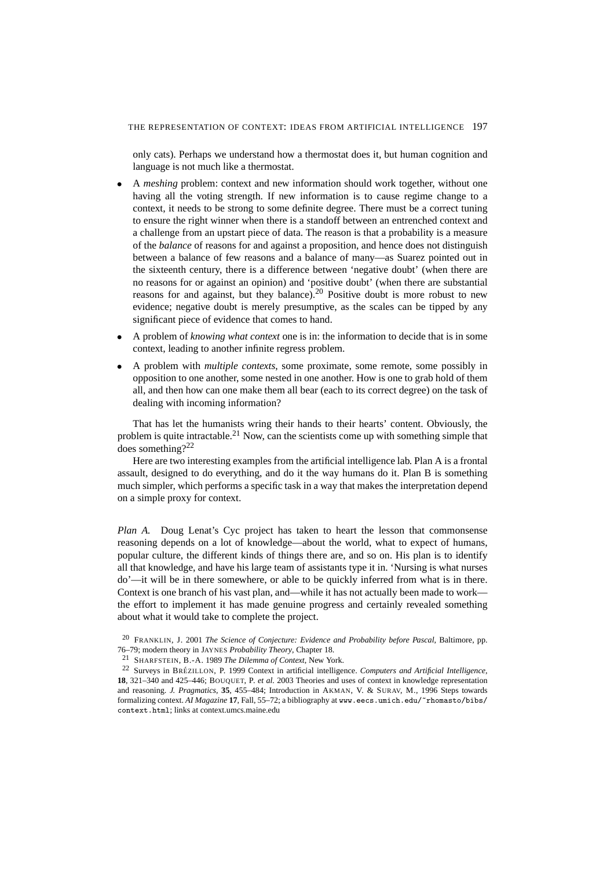only cats). Perhaps we understand how a thermostat does it, but human cognition and language is not much like a thermostat.

- A *meshing* problem: context and new information should work together, without one having all the voting strength. If new information is to cause regime change to a context, it needs to be strong to some definite degree. There must be a correct tuning to ensure the right winner when there is a standoff between an entrenched context and a challenge from an upstart piece of data. The reason is that a probability is a measure of the *balance* of reasons for and against a proposition, and hence does not distinguish between a balance of few reasons and a balance of many—as Suarez pointed out in the sixteenth century, there is a difference between 'negative doubt' (when there are no reasons for or against an opinion) and 'positive doubt' (when there are substantial reasons for and against, but they balance).<sup>20</sup> Positive doubt is more robust to new evidence; negative doubt is merely presumptive, as the scales can be tipped by any significant piece of evidence that comes to hand.
- A problem of *knowing what context* one is in: the information to decide that is in some context, leading to another infinite regress problem.
- A problem with *multiple contexts*, some proximate, some remote, some possibly in opposition to one another, some nested in one another. How is one to grab hold of them all, and then how can one make them all bear (each to its correct degree) on the task of dealing with incoming information?

That has let the humanists wring their hands to their hearts' content. Obviously, the problem is quite intractable.<sup>21</sup> Now, can the scientists come up with something simple that does something?22

Here are two interesting examples from the artificial intelligence lab. Plan A is a frontal assault, designed to do everything, and do it the way humans do it. Plan B is something much simpler, which performs a specific task in a way that makes the interpretation depend on a simple proxy for context.

*Plan A.* Doug Lenat's Cyc project has taken to heart the lesson that commonsense reasoning depends on a lot of knowledge—about the world, what to expect of humans, popular culture, the different kinds of things there are, and so on. His plan is to identify all that knowledge, and have his large team of assistants type it in. 'Nursing is what nurses do'—it will be in there somewhere, or able to be quickly inferred from what is in there. Context is one branch of his vast plan, and—while it has not actually been made to work the effort to implement it has made genuine progress and certainly revealed something about what it would take to complete the project.

<sup>20</sup> FRANKLIN, J. 2001 *The Science of Conjecture: Evidence and Probability before Pascal*, Baltimore, pp.

<sup>76–79;</sup> modern theory in JAYNES *Probability Theory*, Chapter 18.

<sup>21</sup> SHARFSTEIN, B.-A. 1989 *The Dilemma of Context*, New York.

<sup>&</sup>lt;sup>22</sup> Surveys in BRÉZILLON, P. 1999 Context in artificial intelligence. *Computers and Artificial Intelligence*, **18**, 321–340 and 425–446; BOUQUET, P. *et al.* 2003 Theories and uses of context in knowledge representation and reasoning. *J. Pragmatics*, 35, 455-484; Introduction in AKMAN, V. & SURAV, M., 1996 Steps towards formalizing context. *AI Magazine* 17, Fall, 55-72; a bibliography at www.eecs.umich.edu/~rhomasto/bibs/ context.html; links at context.umcs.maine.edu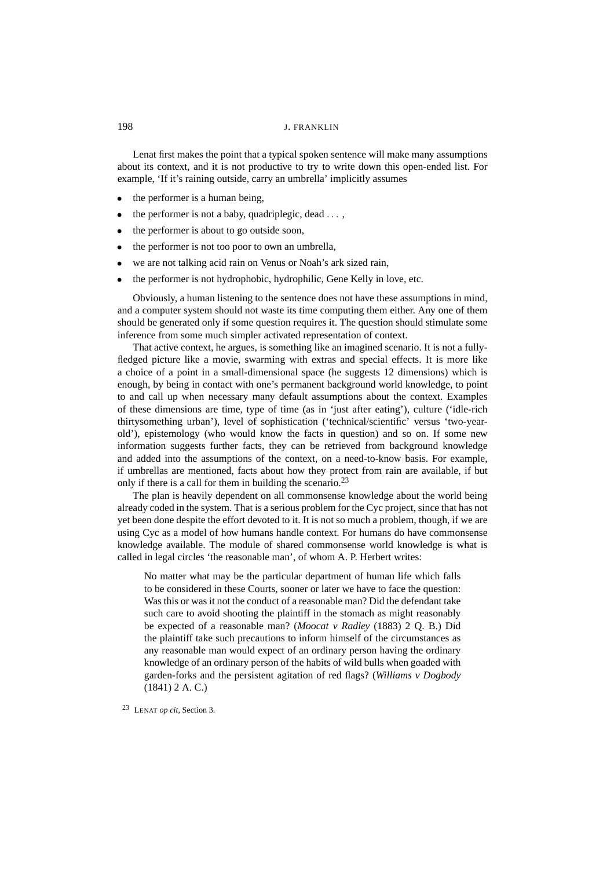Lenat first makes the point that a typical spoken sentence will make many assumptions about its context, and it is not productive to try to write down this open-ended list. For example, 'If it's raining outside, carry an umbrella' implicitly assumes

- the performer is a human being,
- the performer is not a baby, quadriplegic, dead  $\dots$ .
- the performer is about to go outside soon,
- the performer is not too poor to own an umbrella,
- we are not talking acid rain on Venus or Noah's ark sized rain,
- the performer is not hydrophobic, hydrophilic, Gene Kelly in love, etc.

Obviously, a human listening to the sentence does not have these assumptions in mind, and a computer system should not waste its time computing them either. Any one of them should be generated only if some question requires it. The question should stimulate some inference from some much simpler activated representation of context.

That active context, he argues, is something like an imagined scenario. It is not a fullyfledged picture like a movie, swarming with extras and special effects. It is more like a choice of a point in a small-dimensional space (he suggests 12 dimensions) which is enough, by being in contact with one's permanent background world knowledge, to point to and call up when necessary many default assumptions about the context. Examples of these dimensions are time, type of time (as in 'just after eating'), culture ('idle-rich thirtysomething urban'), level of sophistication ('technical/scientific' versus 'two-yearold'), epistemology (who would know the facts in question) and so on. If some new information suggests further facts, they can be retrieved from background knowledge and added into the assumptions of the context, on a need-to-know basis. For example, if umbrellas are mentioned, facts about how they protect from rain are available, if but only if there is a call for them in building the scenario.<sup>23</sup>

The plan is heavily dependent on all commonsense knowledge about the world being already coded in the system. That is a serious problem for the Cyc project, since that has not yet been done despite the effort devoted to it. It is not so much a problem, though, if we are using Cyc as a model of how humans handle context. For humans do have commonsense knowledge available. The module of shared commonsense world knowledge is what is called in legal circles 'the reasonable man', of whom A. P. Herbert writes:

No matter what may be the particular department of human life which falls to be considered in these Courts, sooner or later we have to face the question: Was this or was it not the conduct of a reasonable man? Did the defendant take such care to avoid shooting the plaintiff in the stomach as might reasonably be expected of a reasonable man? (*Moocat v Radley* (1883) 2 Q. B.) Did the plaintiff take such precautions to inform himself of the circumstances as any reasonable man would expect of an ordinary person having the ordinary knowledge of an ordinary person of the habits of wild bulls when goaded with garden-forks and the persistent agitation of red flags? (*Williams v Dogbody* (1841) 2 A. C.)

<sup>23</sup> LENAT *op cit*, Section 3.